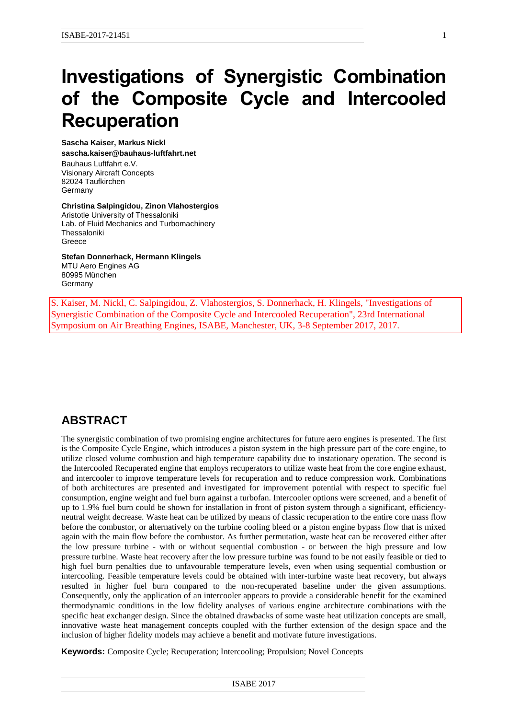# **Investigations of Synergistic Combination of the Composite Cycle and Intercooled Recuperation**

**Sascha Kaiser, Markus Nickl sascha.kaiser@bauhaus-luftfahrt.net**

Bauhaus Luftfahrt e.V. Visionary Aircraft Concepts 82024 Taufkirchen **Germany** 

**Christina Salpingidou, Zinon Vlahostergios**

Aristotle University of Thessaloniki Lab. of Fluid Mechanics and Turbomachinery Thessaloniki Greece

**Stefan Donnerhack, Hermann Klingels** MTU Aero Engines AG 80995 München Germany

S. Kaiser, M. Nickl, C. Salpingidou, Z. Vlahostergios, S. Donnerhack, H. Klingels, "Investigations of Synergistic Combination of the Composite Cycle and Intercooled Recuperation", 23rd International Symposium on Air Breathing Engines, ISABE, Manchester, UK, 3-8 September 2017, 2017.

# **ABSTRACT**

The synergistic combination of two promising engine architectures for future aero engines is presented. The first is the Composite Cycle Engine, which introduces a piston system in the high pressure part of the core engine, to utilize closed volume combustion and high temperature capability due to instationary operation. The second is the Intercooled Recuperated engine that employs recuperators to utilize waste heat from the core engine exhaust, and intercooler to improve temperature levels for recuperation and to reduce compression work. Combinations of both architectures are presented and investigated for improvement potential with respect to specific fuel consumption, engine weight and fuel burn against a turbofan. Intercooler options were screened, and a benefit of up to 1.9% fuel burn could be shown for installation in front of piston system through a significant, efficiencyneutral weight decrease. Waste heat can be utilized by means of classic recuperation to the entire core mass flow before the combustor, or alternatively on the turbine cooling bleed or a piston engine bypass flow that is mixed again with the main flow before the combustor. As further permutation, waste heat can be recovered either after the low pressure turbine - with or without sequential combustion - or between the high pressure and low pressure turbine. Waste heat recovery after the low pressure turbine was found to be not easily feasible or tied to high fuel burn penalties due to unfavourable temperature levels, even when using sequential combustion or intercooling. Feasible temperature levels could be obtained with inter-turbine waste heat recovery, but always resulted in higher fuel burn compared to the non-recuperated baseline under the given assumptions. Consequently, only the application of an intercooler appears to provide a considerable benefit for the examined thermodynamic conditions in the low fidelity analyses of various engine architecture combinations with the specific heat exchanger design. Since the obtained drawbacks of some waste heat utilization concepts are small, innovative waste heat management concepts coupled with the further extension of the design space and the inclusion of higher fidelity models may achieve a benefit and motivate future investigations.

**Keywords:** Composite Cycle; Recuperation; Intercooling; Propulsion; Novel Concepts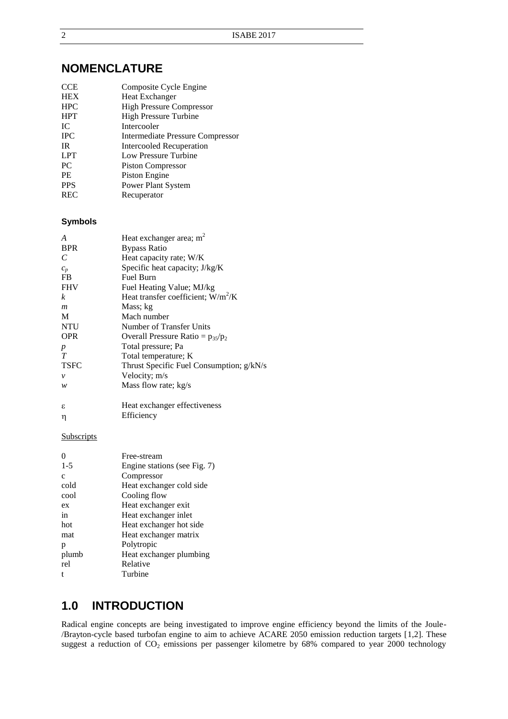## **NOMENCLATURE**

| <b>CCE</b> | Composite Cycle Engine           |
|------------|----------------------------------|
| <b>HEX</b> | Heat Exchanger                   |
| <b>HPC</b> | <b>High Pressure Compressor</b>  |
| <b>HPT</b> | <b>High Pressure Turbine</b>     |
| IC         | Intercooler                      |
| <b>IPC</b> | Intermediate Pressure Compressor |
| <b>IR</b>  | <b>Intercooled Recuperation</b>  |
| <b>LPT</b> | Low Pressure Turbine             |
| PC         | <b>Piston Compressor</b>         |
| <b>PE</b>  | Piston Engine                    |
| <b>PPS</b> | Power Plant System               |
| <b>REC</b> | Recuperator                      |
|            |                                  |

#### **Symbols**

| A                     | Heat exchanger area; $m2$                |
|-----------------------|------------------------------------------|
| <b>BPR</b>            | <b>Bypass Ratio</b>                      |
| $\mathcal{C}_{0}^{0}$ | Heat capacity rate; W/K                  |
| $c_p$                 | Specific heat capacity; J/kg/K           |
| FB                    | <b>Fuel Burn</b>                         |
| <b>FHV</b>            | Fuel Heating Value; MJ/kg                |
| k                     | Heat transfer coefficient; $W/m^2/K$     |
| m                     | Mass; kg                                 |
| M                     | Mach number                              |
| <b>NTU</b>            | Number of Transfer Units                 |
| <b>OPR</b>            | Overall Pressure Ratio = $p_{35}/p_2$    |
| p                     | Total pressure; Pa                       |
| T                     | Total temperature; K                     |
| <b>TSFC</b>           | Thrust Specific Fuel Consumption; g/kN/s |
| $\mathcal{V}$         | Velocity; m/s                            |
| w                     | Mass flow rate; kg/s                     |
| ε                     | Heat exchanger effectiveness             |
| η                     | Efficiency                               |
|                       |                                          |

#### **Subscripts**

|              | Free-stream                  |
|--------------|------------------------------|
| $1 - 5$      | Engine stations (see Fig. 7) |
| $\mathbf{c}$ | Compressor                   |
| cold         | Heat exchanger cold side     |
| cool         | Cooling flow                 |
| ex           | Heat exchanger exit          |
| in           | Heat exchanger inlet         |
| hot          | Heat exchanger hot side      |
| mat          | Heat exchanger matrix        |
| p            | Polytropic                   |
| plumb        | Heat exchanger plumbing      |
| rel          | Relative                     |
| t            | Turbine                      |

# **1.0 INTRODUCTION**

<span id="page-1-1"></span><span id="page-1-0"></span>Radical engine concepts are being investigated to improve engine efficiency beyond the limits of the Joule- /Brayton-cycle based turbofan engine to aim to achieve ACARE 2050 emission reduction targets [1,2]. These suggest a reduction of CO<sub>2</sub> emissions per passenger kilometre by 68% compared to year 2000 technology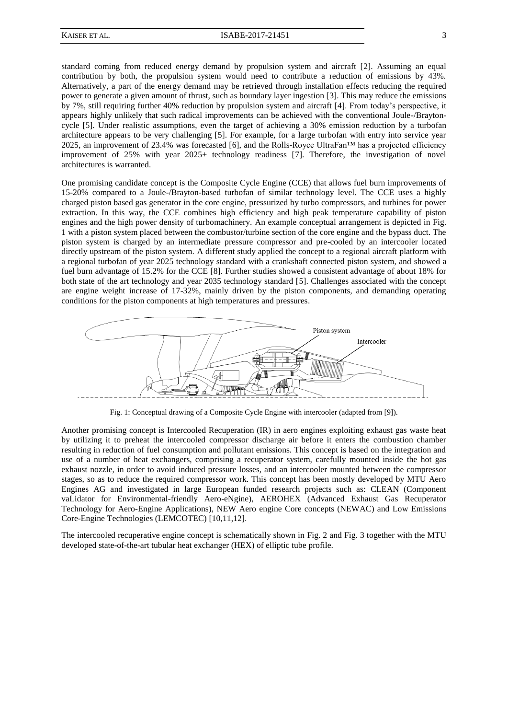<span id="page-2-5"></span><span id="page-2-4"></span>standard coming from reduced energy demand by propulsion system and aircraft [\[2\]](#page-1-0). Assuming an equal contribution by both, the propulsion system would need to contribute a reduction of emissions by 43%. Alternatively, a part of the energy demand may be retrieved through installation effects reducing the required power to generate a given amount of thrust, such as boundary layer ingestion [3]. This may reduce the emissions by 7%, still requiring further 40% reduction by propulsion system and aircraft [4]. From today's perspective, it appears highly unlikely that such radical improvements can be achieved with the conventional Joule-/Braytoncycle [5]. Under realistic assumptions, even the target of achieving a 30% emission reduction by a turbofan architecture appears to be very challenging [\[5\]](#page-2-0). For example, for a large turbofan with entry into service year 2025, an improvement of 23.4% was forecasted [6], and the Rolls-Royce UltraFan<sup>TM</sup> has a projected efficiency improvement of 25% with year 2025+ technology readiness [7]. Therefore, the investigation of novel architectures is warranted.

<span id="page-2-7"></span><span id="page-2-6"></span><span id="page-2-0"></span>One promising candidate concept is the Composite Cycle Engine (CCE) that allows fuel burn improvements of 15-20% compared to a Joule-/Brayton-based turbofan of similar technology level. The CCE uses a highly charged piston based gas generator in the core engine, pressurized by turbo compressors, and turbines for power extraction. In this way, the CCE combines high efficiency and high peak temperature capability of piston engines and the high power density of turbomachinery. An example conceptual arrangement is depicted in [Fig.](#page-2-1)  [1](#page-2-1) with a piston system placed between the combustor/turbine section of the core engine and the bypass duct. The piston system is charged by an intermediate pressure compressor and pre-cooled by an intercooler located directly upstream of the piston system. A different study applied the concept to a regional aircraft platform with a regional turbofan of year 2025 technology standard with a crankshaft connected piston system, and showed a fuel burn advantage of 15.2% for the CCE [8]. Further studies showed a consistent advantage of about 18% for both state of the art technology and year 2035 technology standard [\[5\]](#page-2-0). Challenges associated with the concept are engine weight increase of 17-32%, mainly driven by the piston components, and demanding operating conditions for the piston components at high temperatures and pressures.

<span id="page-2-8"></span>

Fig. 1: Conceptual drawing of a Composite Cycle Engine with intercooler (adapted from [9]).

<span id="page-2-3"></span><span id="page-2-1"></span>Another promising concept is Intercooled Recuperation (IR) in aero engines exploiting exhaust gas waste heat by utilizing it to preheat the intercooled compressor discharge air before it enters the combustion chamber resulting in reduction of fuel consumption and pollutant emissions. This concept is based on the integration and use of a number of heat exchangers, comprising a recuperator system, carefully mounted inside the hot gas exhaust nozzle, in order to avoid induced pressure losses, and an intercooler mounted between the compressor stages, so as to reduce the required compressor work. This concept has been mostly developed by MTU Aero Engines AG and investigated in large European funded research projects such as: CLEAN (Component vaLidator for Environmental-friendly Aero-eNgine), AEROHEX (Advanced Exhaust Gas Recuperator Technology for Aero-Engine Applications), NEW Aero engine Core concepts (NEWAC) and Low Emissions Core-Engine Technologies (LEMCOTEC) [10,11,12].

<span id="page-2-10"></span><span id="page-2-9"></span><span id="page-2-2"></span>The intercooled recuperative engine concept is schematically shown in [Fig. 2](#page-3-0) and [Fig. 3](#page-3-1) together with the MTU developed state-of-the-art tubular heat exchanger (HEX) of elliptic tube profile.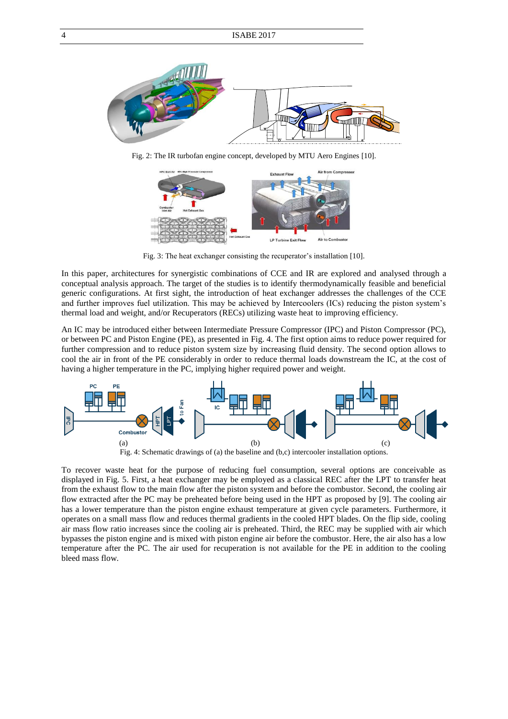

<span id="page-3-0"></span>Fig. 2: The IR turbofan engine concept, developed by MTU Aero Engines [\[10\]](#page-2-2).



Fig. 3: The heat exchanger consisting the recuperator's installation [\[10\]](#page-2-2).

<span id="page-3-1"></span>In this paper, architectures for synergistic combinations of CCE and IR are explored and analysed through a conceptual analysis approach. The target of the studies is to identify thermodynamically feasible and beneficial generic configurations. At first sight, the introduction of heat exchanger addresses the challenges of the CCE and further improves fuel utilization. This may be achieved by Intercoolers (ICs) reducing the piston system's thermal load and weight, and/or Recuperators (RECs) utilizing waste heat to improving efficiency.

An IC may be introduced either between Intermediate Pressure Compressor (IPC) and Piston Compressor (PC), or between PC and Piston Engine (PE), as presented in [Fig. 4.](#page-3-2) The first option aims to reduce power required for further compression and to reduce piston system size by increasing fluid density. The second option allows to cool the air in front of the PE considerably in order to reduce thermal loads downstream the IC, at the cost of having a higher temperature in the PC, implying higher required power and weight.



Fig. 4: Schematic drawings of (a) the baseline and (b,c) intercooler installation options.

<span id="page-3-2"></span>To recover waste heat for the purpose of reducing fuel consumption, several options are conceivable as displayed in [Fig. 5.](#page-4-0) First, a heat exchanger may be employed as a classical REC after the LPT to transfer heat from the exhaust flow to the main flow after the piston system and before the combustor. Second, the cooling air flow extracted after the PC may be preheated before being used in the HPT as proposed by [\[9\]](#page-2-3). The cooling air has a lower temperature than the piston engine exhaust temperature at given cycle parameters. Furthermore, it operates on a small mass flow and reduces thermal gradients in the cooled HPT blades. On the flip side, cooling air mass flow ratio increases since the cooling air is preheated. Third, the REC may be supplied with air which bypasses the piston engine and is mixed with piston engine air before the combustor. Here, the air also has a low temperature after the PC. The air used for recuperation is not available for the PE in addition to the cooling bleed mass flow.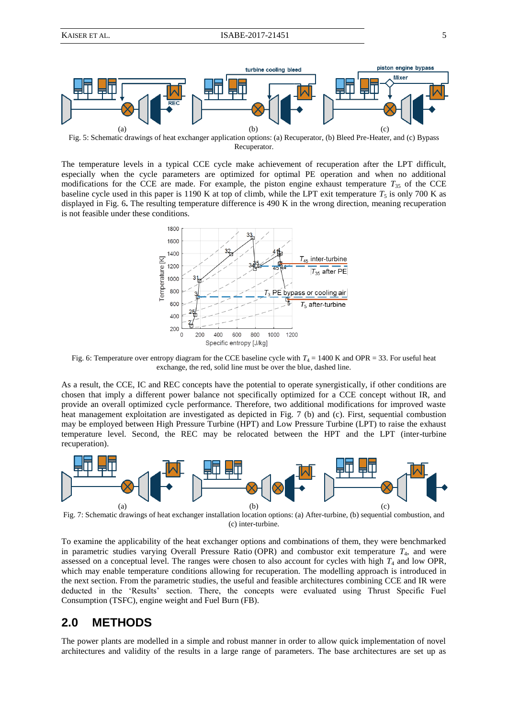

<span id="page-4-0"></span>Fig. 5: Schematic drawings of heat exchanger application options: (a) Recuperator, (b) Bleed Pre-Heater, and (c) Bypass Recuperator.

The temperature levels in a typical CCE cycle make achievement of recuperation after the LPT difficult, especially when the cycle parameters are optimized for optimal PE operation and when no additional modifications for the CCE are made. For example, the piston engine exhaust temperature  $T_{35}$  of the CCE baseline cycle used in this paper is 1190 K at top of climb, while the LPT exit temperature  $T_5$  is only 700 K as displayed in [Fig. 6](#page-4-1)**.** The resulting temperature difference is 490 K in the wrong direction, meaning recuperation is not feasible under these conditions.



<span id="page-4-1"></span>Fig. 6: Temperature over entropy diagram for the CCE baseline cycle with  $T_4 = 1400$  K and OPR = 33. For useful heat exchange, the red, solid line must be over the blue, dashed line.

As a result, the CCE, IC and REC concepts have the potential to operate synergistically, if other conditions are chosen that imply a different power balance not specifically optimized for a CCE concept without IR, and provide an overall optimized cycle performance. Therefore, two additional modifications for improved waste heat management exploitation are investigated as depicted in [Fig. 7](#page-4-2) (b) and (c). First, sequential combustion may be employed between High Pressure Turbine (HPT) and Low Pressure Turbine (LPT) to raise the exhaust temperature level. Second, the REC may be relocated between the HPT and the LPT (inter-turbine recuperation).



<span id="page-4-2"></span>Fig. 7: Schematic drawings of heat exchanger installation location options: (a) After-turbine, (b) sequential combustion, and (c) inter-turbine.

To examine the applicability of the heat exchanger options and combinations of them, they were benchmarked in parametric studies varying Overall Pressure Ratio (OPR) and combustor exit temperature  $T<sub>4</sub>$ , and were assessed on a conceptual level. The ranges were chosen to also account for cycles with high  $T_4$  and low OPR, which may enable temperature conditions allowing for recuperation. The modelling approach is introduced in the next section. From the parametric studies, the useful and feasible architectures combining CCE and IR were deducted in the 'Results' section. There, the concepts were evaluated using Thrust Specific Fuel Consumption (TSFC), engine weight and Fuel Burn (FB).

## **2.0 METHODS**

The power plants are modelled in a simple and robust manner in order to allow quick implementation of novel architectures and validity of the results in a large range of parameters. The base architectures are set up as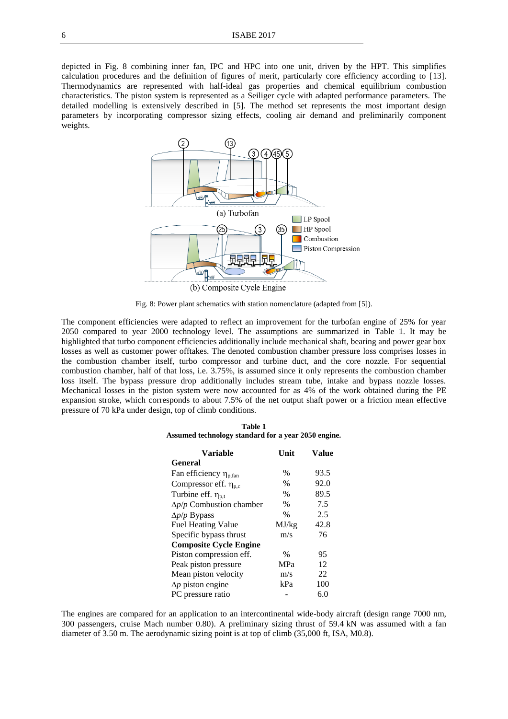depicted in [Fig. 8](#page-5-0) combining inner fan, IPC and HPC into one unit, driven by the HPT. This simplifies calculation procedures and the definition of figures of merit, particularly core efficiency according to [13]. Thermodynamics are represented with half-ideal gas properties and chemical equilibrium combustion characteristics. The piston system is represented as a Seiliger cycle with adapted performance parameters. The detailed modelling is extensively described in [\[5\]](#page-2-0). The method set represents the most important design parameters by incorporating compressor sizing effects, cooling air demand and preliminarily component weights.

<span id="page-5-2"></span>

Fig. 8: Power plant schematics with station nomenclature (adapted from [\[5\]](#page-2-0)).

<span id="page-5-1"></span><span id="page-5-0"></span>The component efficiencies were adapted to reflect an improvement for the turbofan engine of 25% for year 2050 compared to year 2000 technology level. The assumptions are summarized in [Table 1.](#page-5-1) It may be highlighted that turbo component efficiencies additionally include mechanical shaft, bearing and power gear box losses as well as customer power offtakes. The denoted combustion chamber pressure loss comprises losses in the combustion chamber itself, turbo compressor and turbine duct, and the core nozzle. For sequential combustion chamber, half of that loss, i.e. 3.75%, is assumed since it only represents the combustion chamber loss itself. The bypass pressure drop additionally includes stream tube, intake and bypass nozzle losses. Mechanical losses in the piston system were now accounted for as 4% of the work obtained during the PE expansion stroke, which corresponds to about 7.5% of the net output shaft power or a friction mean effective pressure of 70 kPa under design, top of climb conditions.

| Table 1 |                                                     |  |  |  |  |  |
|---------|-----------------------------------------------------|--|--|--|--|--|
|         | Assumed technology standard for a year 2050 engine. |  |  |  |  |  |

| <b>Variable</b>                      | Unit       | <b>Value</b> |
|--------------------------------------|------------|--------------|
| General                              |            |              |
| Fan efficiency $\eta_{\text{p,fan}}$ | $\%$       | 93.5         |
| Compressor eff. $\eta_{nc}$          | $\%$       | 92.0         |
| Turbine eff. $\eta_{p,t}$            | $\%$       | 89.5         |
| $\Delta p/p$ Combustion chamber      | $\%$       | 7.5          |
| $\Delta p/p$ Bypass                  | $\%$       | 2.5          |
| <b>Fuel Heating Value</b>            | MJ/kg      | 42.8         |
| Specific bypass thrust               | m/s        | 76           |
| <b>Composite Cycle Engine</b>        |            |              |
| Piston compression eff.              | $\%$       | 95           |
| Peak piston pressure                 | <b>MPa</b> | 12           |
| Mean piston velocity                 | m/s        | 22           |
| $\Delta p$ piston engine             | kPa        | 100          |
| PC pressure ratio                    |            | 6.0          |

The engines are compared for an application to an intercontinental wide-body aircraft (design range 7000 nm, 300 passengers, cruise Mach number 0.80). A preliminary sizing thrust of 59.4 kN was assumed with a fan diameter of 3.50 m. The aerodynamic sizing point is at top of climb (35,000 ft, ISA, M0.8).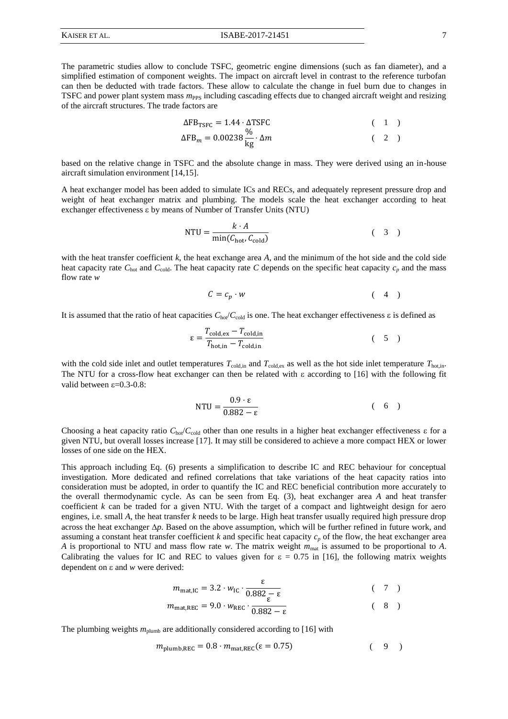The parametric studies allow to conclude TSFC, geometric engine dimensions (such as fan diameter), and a simplified estimation of component weights. The impact on aircraft level in contrast to the reference turbofan can then be deducted with trade factors. These allow to calculate the change in fuel burn due to changes in TSFC and power plant system mass *m*<sub>PPS</sub> including cascading effects due to changed aircraft weight and resizing of the aircraft structures. The trade factors are

<span id="page-6-4"></span><span id="page-6-3"></span>
$$
\Delta FB_{TSFC} = 1.44 \cdot \Delta TSFC
$$
 (1)  
\n
$$
\Delta FB_m = 0.00238 \frac{\%}{\text{kg}} \cdot \Delta m
$$
 (2)

based on the relative change in TSFC and the absolute change in mass. They were derived using an in-house aircraft simulation environment [14,15].

A heat exchanger model has been added to simulate ICs and RECs, and adequately represent pressure drop and weight of heat exchanger matrix and plumbing. The models scale the heat exchanger according to heat exchanger effectiveness  $\varepsilon$  by means of Number of Transfer Units (NTU)

NTU = 
$$
\frac{k \cdot A}{\min(C_{\text{hot}}, C_{\text{cold}})}
$$
 (3)

with the heat transfer coefficient *k*, the heat exchange area *A*, and the minimum of the hot side and the cold side heat capacity rate  $C_{\text{hot}}$  and  $C_{\text{cold}}$ . The heat capacity rate *C* depends on the specific heat capacity  $c_p$  and the mass flow rate *w*

<span id="page-6-1"></span>
$$
C = c_p \cdot w \tag{4}
$$

It is assumed that the ratio of heat capacities  $C_{\text{hot}}/C_{\text{cold}}$  is one. The heat exchanger effectiveness  $\varepsilon$  is defined as

$$
\varepsilon = \frac{T_{\text{cold,ex}} - T_{\text{cold,in}}}{T_{\text{hot,in}} - T_{\text{cold,in}}}
$$
 (5)

with the cold side inlet and outlet temperatures  $T_{\text{cold,in}}$  and  $T_{\text{cold, as well as the hot side inlet temperature  $T_{\text{hot,in}}$ .$ The NTU for a cross-flow heat exchanger can then be related with  $\varepsilon$  according to [16] with the following fit valid between  $\varepsilon$ =0.3-0.8:

<span id="page-6-5"></span><span id="page-6-2"></span><span id="page-6-0"></span>
$$
NTU = \frac{0.9 \cdot \varepsilon}{0.882 - \varepsilon} \tag{6}
$$

Choosing a heat capacity ratio  $C_{\text{hot}}/C_{\text{cold}}$  other than one results in a higher heat exchanger effectiveness  $\varepsilon$  for a given NTU, but overall losses increase [17]. It may still be considered to achieve a more compact HEX or lower losses of one side on the HEX.

This approach including Eq. [\(6\)](#page-6-0) presents a simplification to describe IC and REC behaviour for conceptual investigation. More dedicated and refined correlations that take variations of the heat capacity ratios into consideration must be adopted, in order to quantify the IC and REC beneficial contribution more accurately to the overall thermodynamic cycle. As can be seen from Eq. [\(3\)](#page-6-1), heat exchanger area *A* and heat transfer coefficient *k* can be traded for a given NTU. With the target of a compact and lightweight design for aero engines, i.e. small *A*, the heat transfer *k* needs to be large. High heat transfer usually required high pressure drop across the heat exchanger  $\Delta p$ . Based on the above assumption, which will be further refined in future work, and assuming a constant heat transfer coefficient  $k$  and specific heat capacity  $c_p$  of the flow, the heat exchanger area *A* is proportional to NTU and mass flow rate *w*. The matrix weight *m*mat is assumed to be proportional to *A*. Calibrating the values for IC and REC to values given for  $\varepsilon = 0.75$  in [\[16\]](#page-6-2), the following matrix weights dependent on  $\varepsilon$  and  $w$  were derived:

$$
m_{\text{mat,IC}} = 3.2 \cdot w_{\text{IC}} \cdot \frac{\varepsilon}{0.882 \frac{\varepsilon}{\varepsilon}} \tag{7}
$$

$$
m_{\text{mat,REC}} = 9.0 \cdot w_{\text{REC}} \cdot \frac{1}{0.882 - \epsilon} \tag{8}
$$

The plumbing weights  $m_{\text{plumb}}$  are additionally considered according to [\[16\]](#page-6-2) with

$$
m_{\text{plumb,REC}} = 0.8 \cdot m_{\text{mat,REC}} (\varepsilon = 0.75) \tag{9}
$$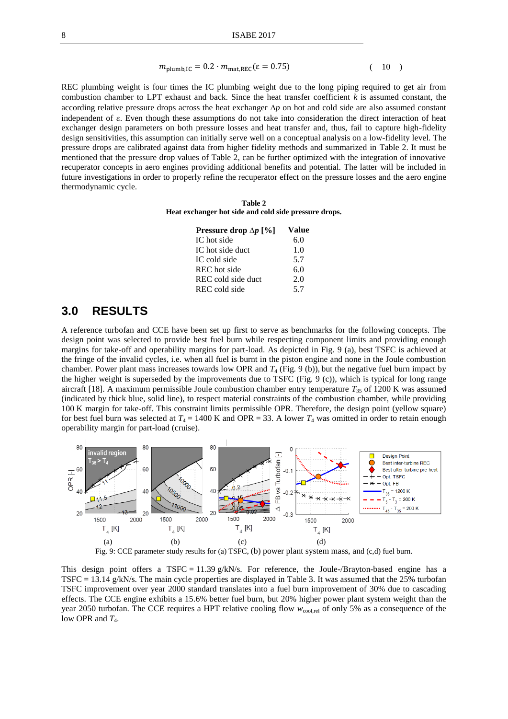#### $m_{\text{plumb,IC}} = 0.2 \cdot m_{\text{mat,REC}} (\epsilon = 0.75)$  ( 10 )

REC plumbing weight is four times the IC plumbing weight due to the long piping required to get air from combustion chamber to LPT exhaust and back. Since the heat transfer coefficient *k* is assumed constant, the according relative pressure drops across the heat exchanger  $\Delta p$  on hot and cold side are also assumed constant independent of  $\varepsilon$ . Even though these assumptions do not take into consideration the direct interaction of heat exchanger design parameters on both pressure losses and heat transfer and, thus, fail to capture high-fidelity design sensitivities, this assumption can initially serve well on a conceptual analysis on a low-fidelity level. The pressure drops are calibrated against data from higher fidelity methods and summarized in [Table 2.](#page-7-0) It must be mentioned that the pressure drop values of Table 2, can be further optimized with the integration of innovative recuperator concepts in aero engines providing additional benefits and potential. The latter will be included in future investigations in order to properly refine the recuperator effect on the pressure losses and the aero engine thermodynamic cycle.

<span id="page-7-0"></span>**Table 2 Heat exchanger hot side and cold side pressure drops.**

| Pressure drop $\Delta p$ [%] | Value |
|------------------------------|-------|
| IC hot side                  | 6.0   |
| IC hot side duct             | 1.0   |
| IC cold side                 | 5.7   |
| REC hot side                 | 6.0   |
| REC cold side duct           | 2.0   |
| REC cold side                | 5.7   |

### **3.0 RESULTS**

<span id="page-7-2"></span>A reference turbofan and CCE have been set up first to serve as benchmarks for the following concepts. The design point was selected to provide best fuel burn while respecting component limits and providing enough margins for take-off and operability margins for part-load. As depicted in [Fig. 9](#page-7-1) (a), best TSFC is achieved at the fringe of the invalid cycles, i.e. when all fuel is burnt in the piston engine and none in the Joule combustion chamber. Power plant mass increases towards low OPR and *T*<sup>4</sup> [\(Fig. 9](#page-7-1) (b)), but the negative fuel burn impact by the higher weight is superseded by the improvements due to TSFC [\(Fig. 9](#page-7-1) (c)), which is typical for long range aircraft [18]. A maximum permissible Joule combustion chamber entry temperature  $T_{35}$  of 1200 K was assumed (indicated by thick blue, solid line), to respect material constraints of the combustion chamber, while providing 100 K margin for take-off. This constraint limits permissible OPR. Therefore, the design point (yellow square) for best fuel burn was selected at  $T_4 = 1400$  K and OPR = 33. A lower  $T_4$  was omitted in order to retain enough operability margin for part-load (cruise).



<span id="page-7-1"></span>This design point offers a TSFC = 11.39 g/kN/s. For reference, the Joule-/Brayton-based engine has a TSFC = 13.14 g/kN/s. The main cycle properties are displayed in Table 3. It was assumed that the 25% turbofan TSFC improvement over year 2000 standard translates into a fuel burn improvement of 30% due to cascading effects. The CCE engine exhibits a 15.6% better fuel burn, but 20% higher power plant system weight than the year 2050 turbofan. The CCE requires a HPT relative cooling flow  $w_{\text{cool,rel}}$  of only 5% as a consequence of the low OPR and  $T_4$ .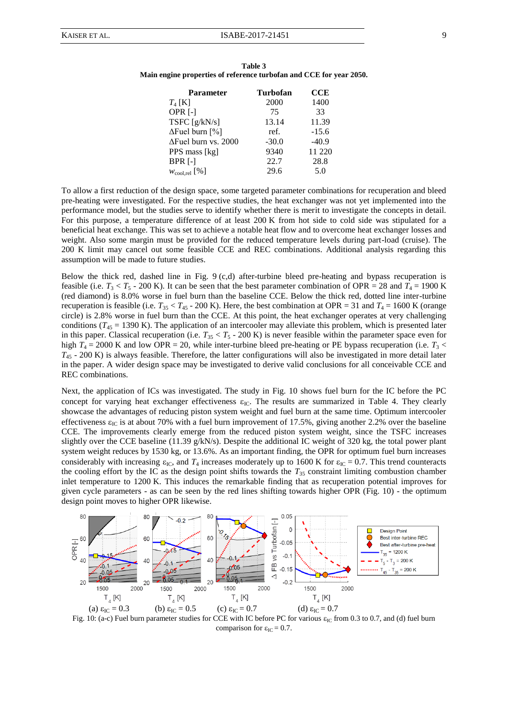| Table 3                                                             |  |
|---------------------------------------------------------------------|--|
| Main engine properties of reference turbofan and CCE for year 2050. |  |

| <b>Parameter</b>            | <b>Turbofan</b> | <b>CCE</b> |
|-----------------------------|-----------------|------------|
| $T_4$ [K]                   | 2000            | 1400       |
| OPR <sub>[-]</sub>          | 75              | 33         |
| TSFC $[g/kN/s]$             | 13.14           | 11.39      |
| $\Delta$ Fuel burn [%]      | ref.            | $-15.6$    |
| $\Delta$ Fuel burn vs. 2000 | $-30.0$         | $-40.9$    |
| PPS mass [kg]               | 9340            | 11 220     |
| BPR [-]                     | 22.7            | 28.8       |
| $W_{\text{cool,rel}}$ [%]   | 29.6            | 5.0        |

To allow a first reduction of the design space, some targeted parameter combinations for recuperation and bleed pre-heating were investigated. For the respective studies, the heat exchanger was not yet implemented into the performance model, but the studies serve to identify whether there is merit to investigate the concepts in detail. For this purpose, a temperature difference of at least 200 K from hot side to cold side was stipulated for a beneficial heat exchange. This was set to achieve a notable heat flow and to overcome heat exchanger losses and weight. Also some margin must be provided for the reduced temperature levels during part-load (cruise). The 200 K limit may cancel out some feasible CCE and REC combinations. Additional analysis regarding this assumption will be made to future studies.

Below the thick red, dashed line in [Fig. 9](#page-7-1) (c,d) after-turbine bleed pre-heating and bypass recuperation is feasible (i.e.  $T_3 < T_5$  - 200 K). It can be seen that the best parameter combination of OPR = 28 and  $T_4$  = 1900 K (red diamond) is 8.0% worse in fuel burn than the baseline CCE. Below the thick red, dotted line inter-turbine recuperation is feasible (i.e.  $T_{35} < T_{45}$  - 200 K). Here, the best combination at OPR = 31 and  $T_4$  = 1600 K (orange circle) is 2.8% worse in fuel burn than the CCE. At this point, the heat exchanger operates at very challenging conditions  $(T_{45} = 1390 \text{ K})$ . The application of an intercooler may alleviate this problem, which is presented later in this paper. Classical recuperation (i.e.  $T_{35} < T_5$  - 200 K) is never feasible within the parameter space even for high  $T_4 = 2000$  K and low OPR = 20, while inter-turbine bleed pre-heating or PE bypass recuperation (i.e.  $T_3$  < *T*<sup>45</sup> - 200 K) is always feasible. Therefore, the latter configurations will also be investigated in more detail later in the paper. A wider design space may be investigated to derive valid conclusions for all conceivable CCE and REC combinations.

Next, the application of ICs was investigated. The study in [Fig. 10](#page-8-0) shows fuel burn for the IC before the PC concept for varying heat exchanger effectiveness  $\varepsilon_{\text{IC}}$ . The results are summarized in [Table 4.](#page-9-0) They clearly showcase the advantages of reducing piston system weight and fuel burn at the same time. Optimum intercooler effectiveness  $\varepsilon_{\text{IC}}$  is at about 70% with a fuel burn improvement of 17.5%, giving another 2.2% over the baseline CCE. The improvements clearly emerge from the reduced piston system weight, since the TSFC increases slightly over the CCE baseline (11.39 g/kN/s). Despite the additional IC weight of 320 kg, the total power plant system weight reduces by 1530 kg, or 13.6%. As an important finding, the OPR for optimum fuel burn increases considerably with increasing  $\varepsilon_{IC}$ , and  $T_4$  increases moderately up to 1600 K for  $\varepsilon_{IC} = 0.7$ . This trend counteracts the cooling effort by the IC as the design point shifts towards the  $T_{35}$  constraint limiting combustion chamber inlet temperature to 1200 K. This induces the remarkable finding that as recuperation potential improves for given cycle parameters - as can be seen by the red lines shifting towards higher OPR [\(Fig. 10\)](#page-8-0) - the optimum design point moves to higher OPR likewise.



<span id="page-8-0"></span>Fig. 10: (a-c) Fuel burn parameter studies for CCE with IC before PC for various  $\varepsilon_{IC}$  from 0.3 to 0.7, and (d) fuel burn comparison for  $\varepsilon_{\text{IC}} = 0.7$ .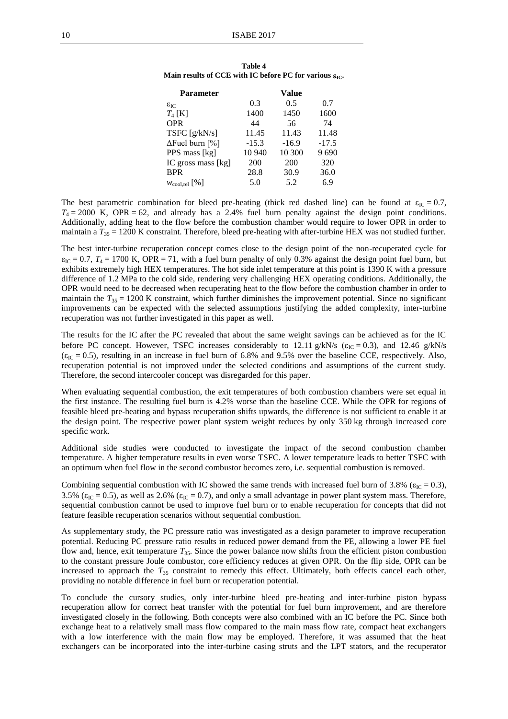| <b>Parameter</b>          |         | Value   |         |
|---------------------------|---------|---------|---------|
| $\epsilon_{\rm IC}$       | 0.3     | 0.5     | 0.7     |
| $T_4$ [K]                 | 1400    | 1450    | 1600    |
| <b>OPR</b>                | 44      | 56      | 74      |
| TSFC $[g/kN/s]$           | 11.45   | 11.43   | 11.48   |
| $\Delta$ Fuel burn [%]    | $-15.3$ | $-16.9$ | $-17.5$ |
| PPS mass [kg]             | 10 940  | 10 300  | 9690    |
| IC gross mass [kg]        | 200     | 200     | 320     |
| <b>BPR</b>                | 28.8    | 30.9    | 36.0    |
| $W_{\text{cool,rel}}$ [%] | 5.0     | 5.2     | 6.9     |

<span id="page-9-0"></span>

| Table 4                                                                       |  |
|-------------------------------------------------------------------------------|--|
| Main results of CCE with IC before PC for various $\varepsilon_{\text{IC}}$ . |  |

The best parametric combination for bleed pre-heating (thick red dashed line) can be found at  $\varepsilon_{\text{IC}} = 0.7$ ,  $T_4 = 2000$  K, OPR = 62, and already has a 2.4% fuel burn penalty against the design point conditions. Additionally, adding heat to the flow before the combustion chamber would require to lower OPR in order to maintain a  $T_{35} = 1200$  K constraint. Therefore, bleed pre-heating with after-turbine HEX was not studied further.

The best inter-turbine recuperation concept comes close to the design point of the non-recuperated cycle for  $\varepsilon_{\text{IC}}$  = 0.7,  $T_4$  = 1700 K, OPR = 71, with a fuel burn penalty of only 0.3% against the design point fuel burn, but exhibits extremely high HEX temperatures. The hot side inlet temperature at this point is 1390 K with a pressure difference of 1.2 MPa to the cold side, rendering very challenging HEX operating conditions. Additionally, the OPR would need to be decreased when recuperating heat to the flow before the combustion chamber in order to maintain the  $T_{35} = 1200$  K constraint, which further diminishes the improvement potential. Since no significant improvements can be expected with the selected assumptions justifying the added complexity, inter-turbine recuperation was not further investigated in this paper as well.

The results for the IC after the PC revealed that about the same weight savings can be achieved as for the IC before PC concept. However, TSFC increases considerably to 12.11 g/kN/s ( $\varepsilon_{IC} = 0.3$ ), and 12.46 g/kN/s  $(\epsilon_{IC} = 0.5)$ , resulting in an increase in fuel burn of 6.8% and 9.5% over the baseline CCE, respectively. Also, recuperation potential is not improved under the selected conditions and assumptions of the current study. Therefore, the second intercooler concept was disregarded for this paper.

When evaluating sequential combustion, the exit temperatures of both combustion chambers were set equal in the first instance. The resulting fuel burn is 4.2% worse than the baseline CCE. While the OPR for regions of feasible bleed pre-heating and bypass recuperation shifts upwards, the difference is not sufficient to enable it at the design point. The respective power plant system weight reduces by only 350 kg through increased core specific work.

Additional side studies were conducted to investigate the impact of the second combustion chamber temperature. A higher temperature results in even worse TSFC. A lower temperature leads to better TSFC with an optimum when fuel flow in the second combustor becomes zero, i.e. sequential combustion is removed.

Combining sequential combustion with IC showed the same trends with increased fuel burn of 3.8% ( $\epsilon_{\text{IC}}$  = 0.3), 3.5% ( $\varepsilon_{\text{IC}}$  = 0.5), as well as 2.6% ( $\varepsilon_{\text{IC}}$  = 0.7), and only a small advantage in power plant system mass. Therefore, sequential combustion cannot be used to improve fuel burn or to enable recuperation for concepts that did not feature feasible recuperation scenarios without sequential combustion.

As supplementary study, the PC pressure ratio was investigated as a design parameter to improve recuperation potential. Reducing PC pressure ratio results in reduced power demand from the PE, allowing a lower PE fuel flow and, hence, exit temperature *T*35. Since the power balance now shifts from the efficient piston combustion to the constant pressure Joule combustor, core efficiency reduces at given OPR. On the flip side, OPR can be increased to approach the  $T_{35}$  constraint to remedy this effect. Ultimately, both effects cancel each other, providing no notable difference in fuel burn or recuperation potential.

To conclude the cursory studies, only inter-turbine bleed pre-heating and inter-turbine piston bypass recuperation allow for correct heat transfer with the potential for fuel burn improvement, and are therefore investigated closely in the following. Both concepts were also combined with an IC before the PC. Since both exchange heat to a relatively small mass flow compared to the main mass flow rate, compact heat exchangers with a low interference with the main flow may be employed. Therefore, it was assumed that the heat exchangers can be incorporated into the inter-turbine casing struts and the LPT stators, and the recuperator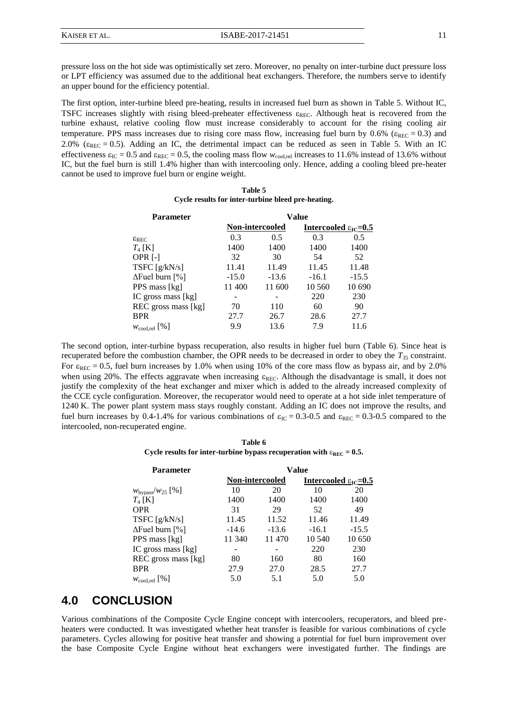pressure loss on the hot side was optimistically set zero. Moreover, no penalty on inter-turbine duct pressure loss or LPT efficiency was assumed due to the additional heat exchangers. Therefore, the numbers serve to identify an upper bound for the efficiency potential.

The first option, inter-turbine bleed pre-heating, results in increased fuel burn as shown in [Table 5.](#page-10-0) Without IC, TSFC increases slightly with rising bleed-preheater effectiveness  $\varepsilon_{REC}$ . Although heat is recovered from the turbine exhaust, relative cooling flow must increase considerably to account for the rising cooling air temperature. PPS mass increases due to rising core mass flow, increasing fuel burn by 0.6% ( $\varepsilon_{\text{REC}} = 0.3$ ) and 2.0% ( $\varepsilon_{REC} = 0.5$ ). Adding an IC, the detrimental impact can be reduced as seen in [Table 5.](#page-10-0) With an IC effectiveness  $\varepsilon_{\text{IC}} = 0.5$  and  $\varepsilon_{\text{REC}} = 0.5$ , the cooling mass flow  $w_{\text{cool,rel}}$  increases to 11.6% instead of 13.6% without IC, but the fuel burn is still 1.4% higher than with intercooling only. Hence, adding a cooling bleed pre-heater cannot be used to improve fuel burn or engine weight.

| Table 5 |  |                                                    |  |
|---------|--|----------------------------------------------------|--|
|         |  | Cycle results for inter-turbine bleed pre-heating. |  |

<span id="page-10-0"></span>

| <b>Parameter</b>          | Value                  |         |                                   |         |  |
|---------------------------|------------------------|---------|-----------------------------------|---------|--|
|                           | <b>Non-intercooled</b> |         | Intercooled $\epsilon_{IC} = 0.5$ |         |  |
| $\epsilon_{\rm REC}$      | 0.3                    | 0.5     | 0.3                               | 0.5     |  |
| $T_4$ [K]                 | 1400                   | 1400    | 1400                              | 1400    |  |
| OPR $[-]$                 | 32                     | 30      | 54                                | 52      |  |
| TSFC $[g/kN/s]$           | 11.41                  | 11.49   | 11.45                             | 11.48   |  |
| $\Delta$ Fuel burn [%]    | $-15.0$                | $-13.6$ | $-16.1$                           | $-15.5$ |  |
| PPS mass [kg]             | 11 400                 | 11 600  | 10 560                            | 10 690  |  |
| IC gross mass [kg]        |                        |         | 220                               | 230     |  |
| REC gross mass [kg]       | 70                     | 110     | 60                                | 90      |  |
| <b>BPR</b>                | 27.7                   | 26.7    | 28.6                              | 27.7    |  |
| $W_{\text{cool,rel}}$ [%] | 9.9                    | 13.6    | 7.9                               | 11.6    |  |

The second option, inter-turbine bypass recuperation, also results in higher fuel burn [\(Table 6\)](#page-10-1). Since heat is recuperated before the combustion chamber, the OPR needs to be decreased in order to obey the *T*<sup>35</sup> constraint. For  $\varepsilon_{\text{REC}} = 0.5$ , fuel burn increases by 1.0% when using 10% of the core mass flow as bypass air, and by 2.0% when using 20%. The effects aggravate when increasing  $\varepsilon_{REC}$ . Although the disadvantage is small, it does not justify the complexity of the heat exchanger and mixer which is added to the already increased complexity of the CCE cycle configuration. Moreover, the recuperator would need to operate at a hot side inlet temperature of 1240 K. The power plant system mass stays roughly constant. Adding an IC does not improve the results, and fuel burn increases by 0.4-1.4% for various combinations of  $\varepsilon_{IC} = 0.3$ -0.5 and  $\varepsilon_{REC} = 0.3$ -0.5 compared to the intercooled, non-recuperated engine.

**Table 6** Cycle results for inter-turbine bypass recuperation with  $\varepsilon_{REC} = 0.5$ .

<span id="page-10-1"></span>

| <b>Parameter</b>               | Value                  |         |                                            |         |
|--------------------------------|------------------------|---------|--------------------------------------------|---------|
|                                | <b>Non-intercooled</b> |         | Intercooled $\varepsilon_{\text{IC}}$ =0.5 |         |
| $w_{\text{bypass}}/w_{25}$ [%] | 10                     | 20      | 10                                         | 20      |
| $T_4$ [K]                      | 1400                   | 1400    | 1400                                       | 1400    |
| <b>OPR</b>                     | 31                     | 29      | 52                                         | 49      |
| TSFC $[g/kN/s]$                | 11.45                  | 11.52   | 11.46                                      | 11.49   |
| $\Delta$ Fuel burn [%]         | $-14.6$                | $-13.6$ | $-16.1$                                    | $-15.5$ |
| PPS mass [kg]                  | 11 340                 | 11 470  | 10 540                                     | 10 650  |
| IC gross mass [kg]             |                        | ۰       | 220                                        | 230     |
| REC gross mass [kg]            | 80                     | 160     | 80                                         | 160     |
| <b>BPR</b>                     | 27.9                   | 27.0    | 28.5                                       | 27.7    |
| $W_{\text{cool,rel}}$ [%]      | 5.0                    | 5.1     | 5.0                                        | 5.0     |

## **4.0 CONCLUSION**

Various combinations of the Composite Cycle Engine concept with intercoolers, recuperators, and bleed preheaters were conducted. It was investigated whether heat transfer is feasible for various combinations of cycle parameters. Cycles allowing for positive heat transfer and showing a potential for fuel burn improvement over the base Composite Cycle Engine without heat exchangers were investigated further. The findings are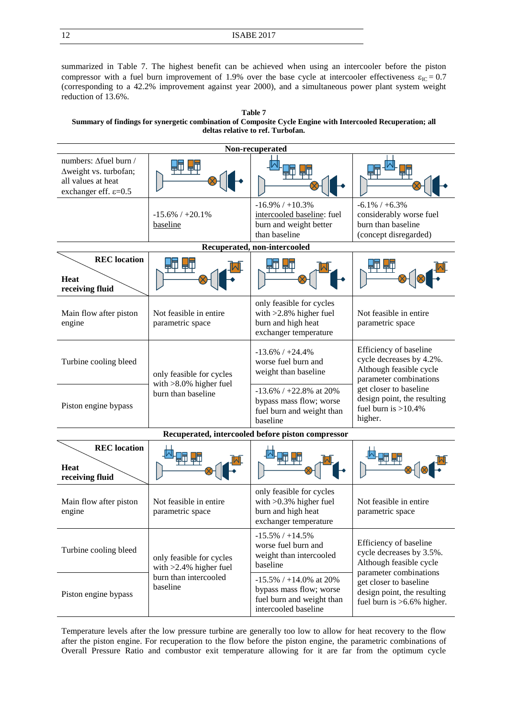summarized in [Table 7.](#page-11-0) The highest benefit can be achieved when using an intercooler before the piston compressor with a fuel burn improvement of 1.9% over the base cycle at intercooler effectiveness  $\varepsilon_{\text{IC}} = 0.7$ (corresponding to a 42.2% improvement against year 2000), and a simultaneous power plant system weight reduction of 13.6%.

<span id="page-11-0"></span>**Table 7 Summary of findings for synergetic combination of Composite Cycle Engine with Intercooled Recuperation; all deltas relative to ref. Turbofan.**

| Non-recuperated                                                                                           |                                                       |                                                                                                           |                                                                                                                                                                                                       |  |  |  |
|-----------------------------------------------------------------------------------------------------------|-------------------------------------------------------|-----------------------------------------------------------------------------------------------------------|-------------------------------------------------------------------------------------------------------------------------------------------------------------------------------------------------------|--|--|--|
| numbers: Afuel burn /<br>∆weight vs. turbofan;<br>all values at heat<br>exchanger eff. $\varepsilon$ =0.5 |                                                       |                                                                                                           |                                                                                                                                                                                                       |  |  |  |
|                                                                                                           | $-15.6\%$ / $+20.1\%$<br>baseline                     | $-16.9\%$ / $+10.3\%$<br>intercooled baseline: fuel<br>burn and weight better<br>than baseline            | $-6.1\% / +6.3\%$<br>considerably worse fuel<br>burn than baseline<br>(concept disregarded)                                                                                                           |  |  |  |
| Recuperated, non-intercooled                                                                              |                                                       |                                                                                                           |                                                                                                                                                                                                       |  |  |  |
| <b>REC</b> location<br><b>Heat</b><br>receiving fluid                                                     |                                                       |                                                                                                           |                                                                                                                                                                                                       |  |  |  |
| Main flow after piston<br>engine                                                                          | Not feasible in entire.<br>parametric space           | only feasible for cycles<br>with $>2.8\%$ higher fuel<br>burn and high heat<br>exchanger temperature      | Not feasible in entire.<br>parametric space                                                                                                                                                           |  |  |  |
| Turbine cooling bleed                                                                                     | only feasible for cycles<br>with $>8.0\%$ higher fuel | $-13.6\%$ / $+24.4\%$<br>worse fuel burn and<br>weight than baseline                                      | Efficiency of baseline<br>cycle decreases by 4.2%.<br>Although feasible cycle<br>parameter combinations<br>get closer to baseline<br>design point, the resulting<br>fuel burn is $>10.4\%$<br>higher. |  |  |  |
| Piston engine bypass                                                                                      | burn than baseline                                    | $-13.6\%$ / +22.8% at 20%<br>bypass mass flow; worse<br>fuel burn and weight than<br>baseline             |                                                                                                                                                                                                       |  |  |  |
| Recuperated, intercooled before piston compressor                                                         |                                                       |                                                                                                           |                                                                                                                                                                                                       |  |  |  |
| <b>REC</b> location<br><b>Heat</b><br>receiving fluid                                                     |                                                       |                                                                                                           |                                                                                                                                                                                                       |  |  |  |
| Main flow after piston<br>engine                                                                          | Not feasible in entire<br>parametric space            | only feasible for cycles<br>with $>0.3\%$ higher fuel<br>burn and high heat<br>exchanger temperature      | Not feasible in entire<br>parametric space                                                                                                                                                            |  |  |  |
| Turbine cooling bleed                                                                                     | only feasible for cycles<br>with $>2.4\%$ higher fuel | $-15.5\%$ / $+14.5\%$<br>worse fuel burn and<br>weight than intercooled<br>baseline                       | Efficiency of baseline<br>cycle decreases by 3.5%.<br>Although feasible cycle<br>parameter combinations                                                                                               |  |  |  |
| burn than intercooled<br>baseline<br>Piston engine bypass                                                 |                                                       | $-15.5\%$ / +14.0% at 20%<br>bypass mass flow; worse<br>fuel burn and weight than<br>intercooled baseline | get closer to baseline<br>design point, the resulting<br>fuel burn is >6.6% higher.                                                                                                                   |  |  |  |

Temperature levels after the low pressure turbine are generally too low to allow for heat recovery to the flow after the piston engine. For recuperation to the flow before the piston engine, the parametric combinations of Overall Pressure Ratio and combustor exit temperature allowing for it are far from the optimum cycle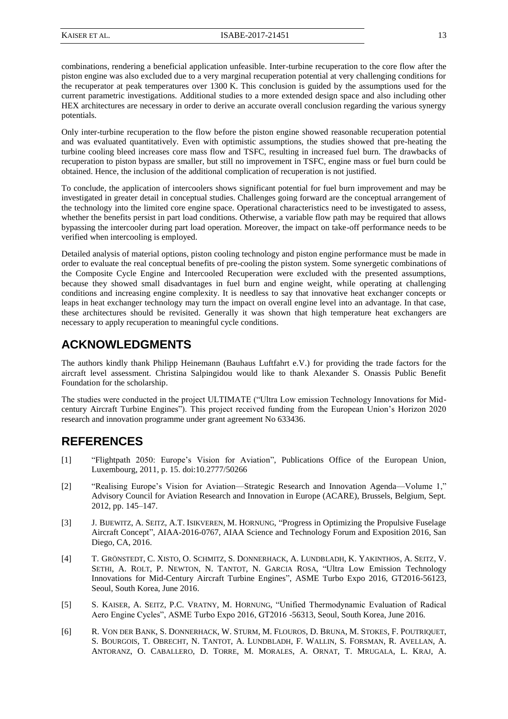combinations, rendering a beneficial application unfeasible. Inter-turbine recuperation to the core flow after the piston engine was also excluded due to a very marginal recuperation potential at very challenging conditions for the recuperator at peak temperatures over 1300 K. This conclusion is guided by the assumptions used for the current parametric investigations. Additional studies to a more extended design space and also including other HEX architectures are necessary in order to derive an accurate overall conclusion regarding the various synergy potentials.

Only inter-turbine recuperation to the flow before the piston engine showed reasonable recuperation potential and was evaluated quantitatively. Even with optimistic assumptions, the studies showed that pre-heating the turbine cooling bleed increases core mass flow and TSFC, resulting in increased fuel burn. The drawbacks of recuperation to piston bypass are smaller, but still no improvement in TSFC, engine mass or fuel burn could be obtained. Hence, the inclusion of the additional complication of recuperation is not justified.

To conclude, the application of intercoolers shows significant potential for fuel burn improvement and may be investigated in greater detail in conceptual studies. Challenges going forward are the conceptual arrangement of the technology into the limited core engine space. Operational characteristics need to be investigated to assess, whether the benefits persist in part load conditions. Otherwise, a variable flow path may be required that allows bypassing the intercooler during part load operation. Moreover, the impact on take-off performance needs to be verified when intercooling is employed.

Detailed analysis of material options, piston cooling technology and piston engine performance must be made in order to evaluate the real conceptual benefits of pre-cooling the piston system. Some synergetic combinations of the Composite Cycle Engine and Intercooled Recuperation were excluded with the presented assumptions, because they showed small disadvantages in fuel burn and engine weight, while operating at challenging conditions and increasing engine complexity. It is needless to say that innovative heat exchanger concepts or leaps in heat exchanger technology may turn the impact on overall engine level into an advantage. In that case, these architectures should be revisited. Generally it was shown that high temperature heat exchangers are necessary to apply recuperation to meaningful cycle conditions.

# **ACKNOWLEDGMENTS**

The authors kindly thank Philipp Heinemann (Bauhaus Luftfahrt e.V.) for providing the trade factors for the aircraft level assessment. Christina Salpingidou would like to thank Alexander S. Onassis Public Benefit Foundation for the scholarship.

The studies were conducted in the project ULTIMATE ("Ultra Low emission Technology Innovations for Midcentury Aircraft Turbine Engines"). This project received funding from the European Union's Horizon 2020 research and innovation programme under grant agreement No 633436.

# **REFERENCES**

- [\[1\]](#page-1-1) "Flightpath 2050: Europe's Vision for Aviation", Publications Office of the European Union, Luxembourg, 2011, p. 15. doi:10.2777/50266
- [\[2\]](#page-1-0) "Realising Europe's Vision for Aviation—Strategic Research and Innovation Agenda—Volume 1," Advisory Council for Aviation Research and Innovation in Europe (ACARE), Brussels, Belgium, Sept. 2012, pp. 145–147.
- [\[3\]](#page-2-4) J. BIJEWITZ, A. SEITZ, A.T. ISIKVEREN, M. HORNUNG, "Progress in Optimizing the Propulsive Fuselage Aircraft Concept", AIAA-2016-0767, AIAA Science and Technology Forum and Exposition 2016, San Diego, CA, 2016.
- [\[4\]](#page-2-5) T. GRÖNSTEDT, C. XISTO, O. SCHMITZ, S. DONNERHACK, A. LUNDBLADH, K. YAKINTHOS, A. SEITZ, V. SETHI, A. ROLT, P. NEWTON, N. TANTOT, N. GARCIA ROSA, "Ultra Low Emission Technology Innovations for Mid-Century Aircraft Turbine Engines", ASME Turbo Expo 2016, GT2016-56123, Seoul, South Korea, June 2016.
- [\[5\]](#page-2-0) S. KAISER, A. SEITZ, P.C. VRATNY, M. HORNUNG, "Unified Thermodynamic Evaluation of Radical Aero Engine Cycles", ASME Turbo Expo 2016, GT2016 -56313, Seoul, South Korea, June 2016.
- [\[6\]](#page-2-6) R. VON DER BANK, S. DONNERHACK, W. STURM, M. FLOUROS, D. BRUNA, M. STOKES, F. POUTRIQUET, S. BOURGOIS, T. OBRECHT, N. TANTOT, A. LUNDBLADH, F. WALLIN, S. FORSMAN, R. AVELLAN, A. ANTORANZ, O. CABALLERO, D. TORRE, M. MORALES, A. ORNAT, T. MRUGALA, L. KRAJ, A.